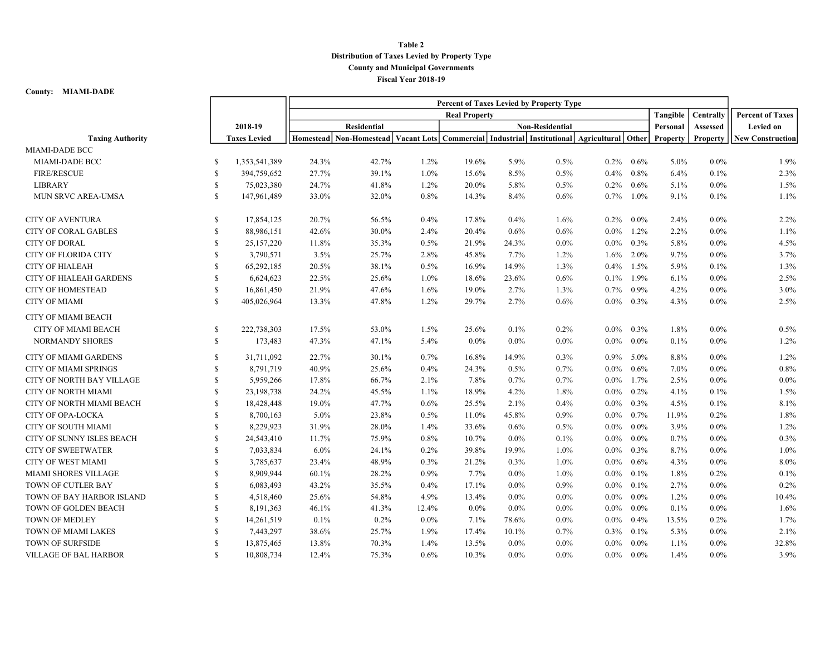## Table 2 Distribution of Taxes Levied by Property Type County and Municipal Governments Fiscal Year 2018-19

## County: MIAMI-DADE

|                                |              |                      | Percent of Taxes Levied by Property Type |                                                                                                          |         |         |         |                        |         |         |                 |           |                         |
|--------------------------------|--------------|----------------------|------------------------------------------|----------------------------------------------------------------------------------------------------------|---------|---------|---------|------------------------|---------|---------|-----------------|-----------|-------------------------|
|                                |              | <b>Real Property</b> |                                          |                                                                                                          |         |         |         |                        |         |         | Tangible        | Centrally | <b>Percent of Taxes</b> |
|                                |              | 2018-19              |                                          | <b>Residential</b>                                                                                       |         |         |         | <b>Non-Residential</b> |         |         | Personal        | Assessed  | <b>Levied on</b>        |
| <b>Taxing Authority</b>        |              | <b>Taxes Levied</b>  |                                          | Homestead   Non-Homestead   Vacant Lots   Commercial   Industrial   Institutional   Agricultural   Other |         |         |         |                        |         |         | <b>Property</b> | Property  | <b>New Construction</b> |
| <b>MIAMI-DADE BCC</b>          |              |                      |                                          |                                                                                                          |         |         |         |                        |         |         |                 |           |                         |
| MIAMI-DADE BCC                 | S            | 1,353,541,389        | 24.3%                                    | 42.7%                                                                                                    | $1.2\%$ | 19.6%   | 5.9%    | 0.5%                   | $0.2\%$ | $0.6\%$ | 5.0%            | $0.0\%$   | 1.9%                    |
| <b>FIRE/RESCUE</b>             | \$           | 394,759,652          | 27.7%                                    | 39.1%                                                                                                    | 1.0%    | 15.6%   | 8.5%    | 0.5%                   | $0.4\%$ | 0.8%    | 6.4%            | 0.1%      | 2.3%                    |
| <b>LIBRARY</b>                 | \$           | 75,023,380           | 24.7%                                    | 41.8%                                                                                                    | 1.2%    | 20.0%   | 5.8%    | 0.5%                   | $0.2\%$ | 0.6%    | 5.1%            | $0.0\%$   | 1.5%                    |
| MUN SRVC AREA-UMSA             | $\mathbb{S}$ | 147,961,489          | 33.0%                                    | 32.0%                                                                                                    | 0.8%    | 14.3%   | 8.4%    | 0.6%                   | 0.7%    | 1.0%    | 9.1%            | 0.1%      | 1.1%                    |
| <b>CITY OF AVENTURA</b>        | \$           | 17,854,125           | 20.7%                                    | 56.5%                                                                                                    | 0.4%    | 17.8%   | 0.4%    | 1.6%                   | $0.2\%$ | $0.0\%$ | 2.4%            | $0.0\%$   | 2.2%                    |
| <b>CITY OF CORAL GABLES</b>    | $\mathbf S$  | 88,986,151           | 42.6%                                    | 30.0%                                                                                                    | 2.4%    | 20.4%   | 0.6%    | 0.6%                   | $0.0\%$ | $1.2\%$ | 2.2%            | $0.0\%$   | 1.1%                    |
| <b>CITY OF DORAL</b>           | S            | 25, 157, 220         | 11.8%                                    | 35.3%                                                                                                    | 0.5%    | 21.9%   | 24.3%   | $0.0\%$                | $0.0\%$ | $0.3\%$ | 5.8%            | $0.0\%$   | 4.5%                    |
| <b>CITY OF FLORIDA CITY</b>    | $\mathbb{S}$ | 3,790,571            | 3.5%                                     | 25.7%                                                                                                    | 2.8%    | 45.8%   | 7.7%    | 1.2%                   | $1.6\%$ | $2.0\%$ | 9.7%            | $0.0\%$   | 3.7%                    |
| <b>CITY OF HIALEAH</b>         | S            | 65,292,185           | 20.5%                                    | 38.1%                                                                                                    | $0.5\%$ | 16.9%   | 14.9%   | 1.3%                   | $0.4\%$ | $1.5\%$ | 5.9%            | 0.1%      | 1.3%                    |
| <b>CITY OF HIALEAH GARDENS</b> | \$           | 6,624,623            | 22.5%                                    | 25.6%                                                                                                    | 1.0%    | 18.6%   | 23.6%   | 0.6%                   | $0.1\%$ | 1.9%    | 6.1%            | $0.0\%$   | 2.5%                    |
| <b>CITY OF HOMESTEAD</b>       | \$           | 16,861,450           | 21.9%                                    | 47.6%                                                                                                    | 1.6%    | 19.0%   | 2.7%    | 1.3%                   | 0.7%    | $0.9\%$ | 4.2%            | 0.0%      | 3.0%                    |
| <b>CITY OF MIAMI</b>           | S            | 405,026,964          | 13.3%                                    | 47.8%                                                                                                    | 1.2%    | 29.7%   | 2.7%    | 0.6%                   | $0.0\%$ | $0.3\%$ | 4.3%            | $0.0\%$   | 2.5%                    |
| CITY OF MIAMI BEACH            |              |                      |                                          |                                                                                                          |         |         |         |                        |         |         |                 |           |                         |
| <b>CITY OF MIAMI BEACH</b>     | \$           | 222,738,303          | 17.5%                                    | 53.0%                                                                                                    | 1.5%    | 25.6%   | 0.1%    | 0.2%                   | $0.0\%$ | $0.3\%$ | 1.8%            | $0.0\%$   | 0.5%                    |
| <b>NORMANDY SHORES</b>         | \$           | 173,483              | 47.3%                                    | 47.1%                                                                                                    | 5.4%    | $0.0\%$ | $0.0\%$ | $0.0\%$                | $0.0\%$ | $0.0\%$ | 0.1%            | $0.0\%$   | 1.2%                    |
| <b>CITY OF MIAMI GARDENS</b>   | S            | 31,711,092           | 22.7%                                    | 30.1%                                                                                                    | 0.7%    | 16.8%   | 14.9%   | 0.3%                   | $0.9\%$ | 5.0%    | 8.8%            | $0.0\%$   | 1.2%                    |
| <b>CITY OF MIAMI SPRINGS</b>   | $\mathbb S$  | 8,791,719            | 40.9%                                    | 25.6%                                                                                                    | 0.4%    | 24.3%   | 0.5%    | 0.7%                   | $0.0\%$ | $0.6\%$ | 7.0%            | $0.0\%$   | 0.8%                    |
| CITY OF NORTH BAY VILLAGE      | $\mathbf S$  | 5,959,266            | 17.8%                                    | 66.7%                                                                                                    | 2.1%    | 7.8%    | 0.7%    | 0.7%                   | $0.0\%$ | 1.7%    | 2.5%            | $0.0\%$   | $0.0\%$                 |
| <b>CITY OF NORTH MIAMI</b>     | S            | 23,198,738           | 24.2%                                    | 45.5%                                                                                                    | $1.1\%$ | 18.9%   | 4.2%    | 1.8%                   | $0.0\%$ | $0.2\%$ | 4.1%            | 0.1%      | 1.5%                    |
| CITY OF NORTH MIAMI BEACH      | $\mathbb{S}$ | 18,428,448           | 19.0%                                    | 47.7%                                                                                                    | 0.6%    | 25.5%   | 2.1%    | 0.4%                   | $0.0\%$ | 0.3%    | 4.5%            | 0.1%      | 8.1%                    |
| CITY OF OPA-LOCKA              | S            | 8,700,163            | 5.0%                                     | 23.8%                                                                                                    | $0.5\%$ | 11.0%   | 45.8%   | 0.9%                   | $0.0\%$ | 0.7%    | 11.9%           | 0.2%      | 1.8%                    |
| CITY OF SOUTH MIAMI            | \$           | 8,229,923            | 31.9%                                    | 28.0%                                                                                                    | 1.4%    | 33.6%   | 0.6%    | 0.5%                   | $0.0\%$ | $0.0\%$ | 3.9%            | $0.0\%$   | 1.2%                    |
| CITY OF SUNNY ISLES BEACH      | \$           | 24,543,410           | 11.7%                                    | 75.9%                                                                                                    | 0.8%    | 10.7%   | $0.0\%$ | 0.1%                   | $0.0\%$ | $0.0\%$ | 0.7%            | 0.0%      | 0.3%                    |
| <b>CITY OF SWEETWATER</b>      | S            | 7,033,834            | $6.0\%$                                  | 24.1%                                                                                                    | $0.2\%$ | 39.8%   | 19.9%   | 1.0%                   | $0.0\%$ | $0.3\%$ | 8.7%            | 0.0%      | 1.0%                    |
| <b>CITY OF WEST MIAMI</b>      | $\mathbb{S}$ | 3,785,637            | 23.4%                                    | 48.9%                                                                                                    | 0.3%    | 21.2%   | 0.3%    | 1.0%                   | $0.0\%$ | $0.6\%$ | 4.3%            | 0.0%      | 8.0%                    |
| MIAMI SHORES VILLAGE           | <b>S</b>     | 8,909,944            | 60.1%                                    | 28.2%                                                                                                    | 0.9%    | 7.7%    | $0.0\%$ | 1.0%                   | $0.0\%$ | $0.1\%$ | 1.8%            | 0.2%      | 0.1%                    |
| TOWN OF CUTLER BAY             | S            | 6,083,493            | 43.2%                                    | 35.5%                                                                                                    | $0.4\%$ | 17.1%   | $0.0\%$ | 0.9%                   | $0.0\%$ | 0.1%    | 2.7%            | 0.0%      | 0.2%                    |
| TOWN OF BAY HARBOR ISLAND      | \$           | 4,518,460            | 25.6%                                    | 54.8%                                                                                                    | 4.9%    | 13.4%   | $0.0\%$ | $0.0\%$                | $0.0\%$ | $0.0\%$ | 1.2%            | $0.0\%$   | 10.4%                   |
| TOWN OF GOLDEN BEACH           | S            | 8,191,363            | 46.1%                                    | 41.3%                                                                                                    | 12.4%   | $0.0\%$ | $0.0\%$ | $0.0\%$                | $0.0\%$ | $0.0\%$ | 0.1%            | $0.0\%$   | 1.6%                    |
| TOWN OF MEDLEY                 | \$           | 14,261,519           | 0.1%                                     | 0.2%                                                                                                     | $0.0\%$ | 7.1%    | 78.6%   | $0.0\%$                | $0.0\%$ | 0.4%    | 13.5%           | 0.2%      | 1.7%                    |
| TOWN OF MIAMI LAKES            | \$           | 7,443,297            | 38.6%                                    | 25.7%                                                                                                    | 1.9%    | 17.4%   | 10.1%   | 0.7%                   | $0.3\%$ | 0.1%    | 5.3%            | $0.0\%$   | 2.1%                    |
| TOWN OF SURFSIDE               | S            | 13,875,465           | 13.8%                                    | 70.3%                                                                                                    | 1.4%    | 13.5%   | $0.0\%$ | $0.0\%$                | $0.0\%$ | $0.0\%$ | 1.1%            | 0.0%      | 32.8%                   |
| <b>VILLAGE OF BAL HARBOR</b>   | $\mathbb{S}$ | 10,808,734           | 12.4%                                    | 75.3%                                                                                                    | 0.6%    | 10.3%   | $0.0\%$ | $0.0\%$                | $0.0\%$ | $0.0\%$ | 1.4%            | $0.0\%$   | 3.9%                    |